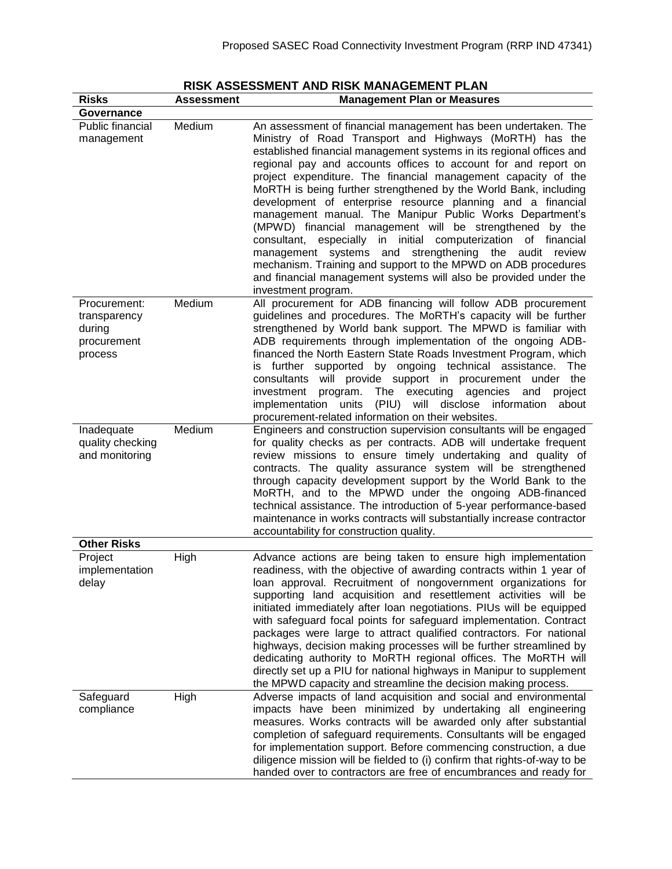| <b>Risks</b>                                                     | Assessment | <b>Management Plan or Measures</b>                                                                                                                                                                                                                                                                                                                                                                                                                                                                                                                                                                                                                                                                                                                                                                                                                                                    |
|------------------------------------------------------------------|------------|---------------------------------------------------------------------------------------------------------------------------------------------------------------------------------------------------------------------------------------------------------------------------------------------------------------------------------------------------------------------------------------------------------------------------------------------------------------------------------------------------------------------------------------------------------------------------------------------------------------------------------------------------------------------------------------------------------------------------------------------------------------------------------------------------------------------------------------------------------------------------------------|
| Governance                                                       |            |                                                                                                                                                                                                                                                                                                                                                                                                                                                                                                                                                                                                                                                                                                                                                                                                                                                                                       |
| Public financial<br>management                                   | Medium     | An assessment of financial management has been undertaken. The<br>Ministry of Road Transport and Highways (MoRTH) has the<br>established financial management systems in its regional offices and<br>regional pay and accounts offices to account for and report on<br>project expenditure. The financial management capacity of the<br>MoRTH is being further strengthened by the World Bank, including<br>development of enterprise resource planning and a financial<br>management manual. The Manipur Public Works Department's<br>(MPWD) financial management will be strengthened by the<br>consultant, especially in initial computerization of financial<br>management systems and strengthening the audit review<br>mechanism. Training and support to the MPWD on ADB procedures<br>and financial management systems will also be provided under the<br>investment program. |
| Procurement:<br>transparency<br>during<br>procurement<br>process | Medium     | All procurement for ADB financing will follow ADB procurement<br>guidelines and procedures. The MoRTH's capacity will be further<br>strengthened by World bank support. The MPWD is familiar with<br>ADB requirements through implementation of the ongoing ADB-<br>financed the North Eastern State Roads Investment Program, which<br>is further supported by ongoing technical assistance.<br>The<br>consultants will provide support in procurement under the<br>investment<br>program. The executing agencies and<br>project<br>will disclose information<br>implementation units (PIU)<br>about<br>procurement-related information on their websites.                                                                                                                                                                                                                           |
| Inadequate<br>quality checking<br>and monitoring                 | Medium     | Engineers and construction supervision consultants will be engaged<br>for quality checks as per contracts. ADB will undertake frequent<br>review missions to ensure timely undertaking and quality of<br>contracts. The quality assurance system will be strengthened<br>through capacity development support by the World Bank to the<br>MoRTH, and to the MPWD under the ongoing ADB-financed<br>technical assistance. The introduction of 5-year performance-based<br>maintenance in works contracts will substantially increase contractor<br>accountability for construction quality.                                                                                                                                                                                                                                                                                            |
| <b>Other Risks</b>                                               |            |                                                                                                                                                                                                                                                                                                                                                                                                                                                                                                                                                                                                                                                                                                                                                                                                                                                                                       |
| Project<br>implementation<br>delay                               | High       | Advance actions are being taken to ensure high implementation<br>readiness, with the objective of awarding contracts within 1 year of<br>loan approval. Recruitment of nongovernment organizations for<br>supporting land acquisition and resettlement activities will be<br>initiated immediately after loan negotiations. PIUs will be equipped<br>with safeguard focal points for safeguard implementation. Contract<br>packages were large to attract qualified contractors. For national<br>highways, decision making processes will be further streamlined by<br>dedicating authority to MoRTH regional offices. The MoRTH will<br>directly set up a PIU for national highways in Manipur to supplement<br>the MPWD capacity and streamline the decision making process.                                                                                                        |
| Safeguard<br>compliance                                          | High       | Adverse impacts of land acquisition and social and environmental<br>impacts have been minimized by undertaking all engineering<br>measures. Works contracts will be awarded only after substantial<br>completion of safeguard requirements. Consultants will be engaged<br>for implementation support. Before commencing construction, a due<br>diligence mission will be fielded to (i) confirm that rights-of-way to be<br>handed over to contractors are free of encumbrances and ready for                                                                                                                                                                                                                                                                                                                                                                                        |

## **RISK ASSESSMENT AND RISK MANAGEMENT PLAN**